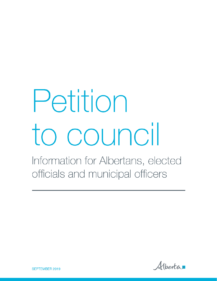# Petition to council

Information for Albertans, elected officials and municipal officers

Alberta

**SEPTEMBER 2019**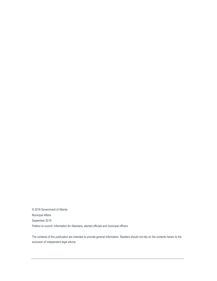© 2019 Government of Alberta Municipal Affairs September 2019 Petition to council: Information for Albertans, elected officials and municipal officers

The contents of this publication are intended to provide general information. Readers should not rely on the contents herein to the exclusion of independent legal advice.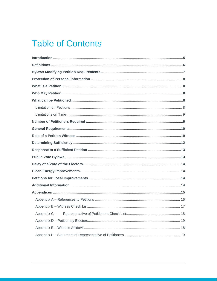# **Table of Contents**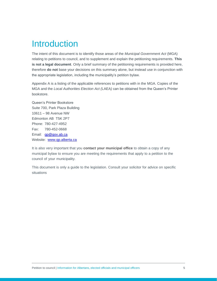## <span id="page-4-0"></span>Introduction

The intent of this document is to identify those areas of the *Municipal Government Act* (MGA) relating to petitions to council, and to supplement and explain the petitioning requirements. **This is not a legal document**. Only a brief summary of the petitioning requirements is provided here, therefore **do not** base your decisions on this summary alone, but instead use in conjunction with the appropriate legislation, including the municipality's petition bylaw.

Appendix A is a listing of the applicable references to petitions with in the MGA. Copies of the MGA and the *Local Authorities Election Act (*LAEA*)* can be obtained from the Queen's Printer bookstore.

Queen's Printer Bookstore Suite 700, Park Plaza Building 10611 – 98 Avenue NW Edmonton AB T5K 2P7 Phone: 780-427-4952 Fax: 780-452-0668 Email: [qp@gov.ab.ca](mailto:qp@gov.ab.ca) Website: [www.qp.alberta.ca](http://www.qp.alberta.ca/)

It is also very important that you **contact your municipal office** to obtain a copy of any municipal bylaw to ensure you are meeting the requirements that apply to a petition to the council of your municipality.

This document is only a guide to the legislation. Consult your solicitor for advice on specific situations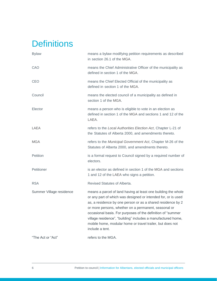## <span id="page-5-0"></span>**Definitions**

| <b>Bylaw</b>             | means a bylaw modifying petition requirements as described<br>in section 26.1 of the MGA.                                                                                                                                                                                                                                                                                                                                                                            |
|--------------------------|----------------------------------------------------------------------------------------------------------------------------------------------------------------------------------------------------------------------------------------------------------------------------------------------------------------------------------------------------------------------------------------------------------------------------------------------------------------------|
| CAO                      | means the Chief Administrative Officer of the municipality as<br>defined in section 1 of the MGA.                                                                                                                                                                                                                                                                                                                                                                    |
| <b>CEO</b>               | means the Chief Elected Official of the municipality as<br>defined in section 1 of the MGA.                                                                                                                                                                                                                                                                                                                                                                          |
| Council                  | means the elected council of a municipality as defined in<br>section 1 of the MGA.                                                                                                                                                                                                                                                                                                                                                                                   |
| Elector                  | means a person who is eligible to vote in an election as<br>defined in section 1 of the MGA and sections 1 and 12 of the<br>LAEA.                                                                                                                                                                                                                                                                                                                                    |
| LAEA                     | refers to the Local Authorities Election Act, Chapter L-21 of<br>the Statutes of Alberta 2000, and amendments thereto.                                                                                                                                                                                                                                                                                                                                               |
| <b>MGA</b>               | refers to the Municipal Government Act, Chapter M-26 of the<br>Statutes of Alberta 2000, and amendments thereto.                                                                                                                                                                                                                                                                                                                                                     |
| Petition                 | is a formal request to Council signed by a required number of<br>electors.                                                                                                                                                                                                                                                                                                                                                                                           |
| Petitioner               | is an elector as defined in section 1 of the MGA and sections<br>1 and 12 of the LAEA who signs a petition.                                                                                                                                                                                                                                                                                                                                                          |
| <b>RSA</b>               | Revised Statutes of Alberta.                                                                                                                                                                                                                                                                                                                                                                                                                                         |
| Summer Village residence | means a parcel of land having at least one building the whole<br>or any part of which was designed or intended for, or is used<br>as, a residence by one person or as a shared residence by 2<br>or more persons, whether on a permanent, seasonal or<br>occasional basis. For purposes of the definition of "summer<br>village residence", "building" includes a manufactured home,<br>mobile home, modular home or travel trailer, but does not<br>include a tent. |
| "The Act or "Act"        | refers to the MGA.                                                                                                                                                                                                                                                                                                                                                                                                                                                   |
|                          |                                                                                                                                                                                                                                                                                                                                                                                                                                                                      |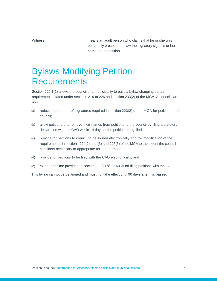Witness **Multiples** means an adult person who claims that he or she was personally present and saw the signatory sign his or her name on the petition.

# <span id="page-6-0"></span>Bylaws Modifying Petition **Requirements**

Section 226.1(1) allows the council of a municipality to pass a bylaw changing certain requirements stated under sections 219 to 226 and section 233(2) of the MGA. A council can now:

- (a) reduce the number of signatures required in section 223(2) of the MGA for petitions to the council;
- (b) allow petitioners to remove their names from petitions to the council by filing a statutory declaration with the CAO within 14 days of the petition being filed.
- (c) provide for petitions to council to be signed electronically and for modification of the requirements in sections 224(2) and (3) and 225(3) of the MGA to the extent the council considers necessary or appropriate for that purpose;
- (d) provide for petitions to be filed with the CAO electronically; and
- (e) extend the time provided in section 233(2) of the MGA for filing petitions with the CAO.

This bylaw cannot be petitioned and must not take effect until 90 days after it is passed.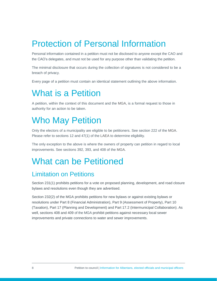# <span id="page-7-0"></span>Protection of Personal Information

Personal information contained in a petition must not be disclosed to anyone except the CAO and the CAO's delegates, and must not be used for any purpose other than validating the petition.

The minimal disclosure that occurs during the collection of signatures is not considered to be a breach of privacy.

Every page of a petition must contain an identical statement outlining the above information.

# <span id="page-7-1"></span>What is a Petition

A petition, within the context of this document and the MGA, is a formal request to those in authority for an action to be taken.

# <span id="page-7-2"></span>Who May Petition

Only the electors of a municipality are eligible to be petitioners. See section 222 of the MGA. Please refer to sections 12 and 47(1) of the LAEA to determine eligibility.

The only exception to the above is where the owners of property can petition in regard to local improvements. See sections 392, 393, and 408 of the MGA.

#### <span id="page-7-3"></span>What can be Petitioned

#### <span id="page-7-4"></span>Limitation on Petitions

Section 231(1) prohibits petitions for a vote on proposed planning, development, and road closure bylaws and resolutions even though they are advertised.

Section 232(2) of the MGA prohibits petitions for new bylaws or against existing bylaws or resolutions under Part 8 (Financial Administration), Part 9 (Assessment of Property), Part 10 (Taxation), Part 17 (Planning and Development) and Part 17.2 (Intermunicipal Collaboration). As well, sections 408 and 409 of the MGA prohibit petitions against necessary local sewer improvements and private connections to water and sewer improvements.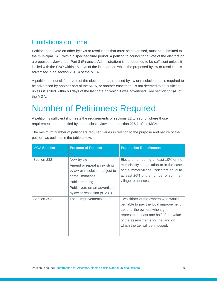#### <span id="page-8-0"></span>Limitations on Time

Petitions for a vote on other bylaws or resolutions that must be advertised, must be submitted to the municipal CAO within a specified time period. A petition to council for a vote of the electors on a proposed bylaw under Part 8 (Financial Administration) is not deemed to be sufficient unless it is filed with the CAO within 15 days of the last date on which the proposed bylaw or resolution is advertised. See section 231(3) of the MGA.

A petition to council for a vote of the electors on a proposed bylaw or resolution that is required to be advertised by another part of the MGA, or another enactment, is not deemed to be sufficient unless it is filed within 60 days of the last date on which it was advertised. See section 231(4) of the MGA.

## <span id="page-8-1"></span>Number of Petitioners Required

A petition is sufficient if it meets the requirements of sections 22 to 226, or where those requirements are modified by a municipal bylaw under section 226.1 of the MGA.

| <b>MGA Section</b> | <b>Purpose of Petition</b>                                                                                                                                                       | <b>Population Requirement</b>                                                                                                                                                                                                   |
|--------------------|----------------------------------------------------------------------------------------------------------------------------------------------------------------------------------|---------------------------------------------------------------------------------------------------------------------------------------------------------------------------------------------------------------------------------|
| Section 232        | New bylaw<br>Amend or repeal an existing<br>bylaw or resolution subject to<br>some limitations<br>Public meeting<br>Public vote on an advertised<br>bylaw or resolution (s. 231) | Electors numbering at least 10% of the<br>municipality's population or in the case<br>of a summer village, **electors equal to<br>at least 20% of the number of summer<br>village residences.                                   |
| Section 392        | Local Improvements                                                                                                                                                               | Two thirds of the owners who would<br>be liable to pay the local improvement<br>tax and the owners who sign<br>represent at least one half of the value<br>of the assessments for the land on<br>which the tax will be imposed. |

The minimum number of petitioners required varies in relation to the purpose and nature of the petition, as outlined in the table below.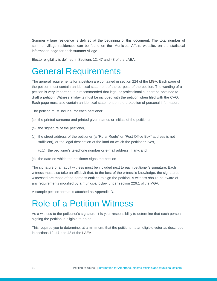Summer village residence is defined at the beginning of this document. The total number of summer village residences can be found on the Municipal Affairs website, on the statistical information page for each summer village.

Elector eligibility is defined in Sections 12, 47 and 48 of the LAEA.

#### <span id="page-9-0"></span>General Requirements

The general requirements for a petition are contained in section 224 of the MGA. Each page of the petition must contain an identical statement of the purpose of the petition. The wording of a petition is very important. It is recommended that legal or professional support be obtained to draft a petition. Witness affidavits must be included with the petition when filed with the CAO. Each page must also contain an identical statement on the protection of personal information.

The petition must include, for each petitioner:

- (a) the printed surname and printed given names or initials of the petitioner,
- (b) the signature of the petitioner,
- (c) the street address of the petitioner (a "Rural Route" or "Post Office Box" address is not sufficient), or the legal description of the land on which the petitioner lives,
	- (c.1) the petitioner's telephone number or e-mail address, if any, and
- (d) the date on which the petitioner signs the petition.

The signature of an adult witness must be included next to each petitioner's signature. Each witness must also take an affidavit that, to the best of the witness's knowledge, the signatures witnessed are those of the persons entitled to sign the petition. A witness should be aware of any requirements modified by a municipal bylaw under section 226.1 of the MGA.

A sample petition format is attached as Appendix D.

#### <span id="page-9-1"></span>Role of a Petition Witness

As a witness to the petitioner's signature, it is your responsibility to determine that each person signing the petition is eligible to do so.

This requires you to determine, at a minimum, that the petitioner is an eligible voter as described in sections 12, 47 and 48 of the LAEA.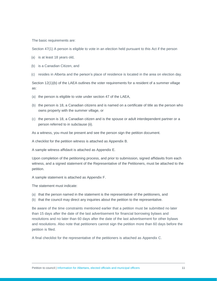The basic requirements are:

Section 47(1) A person is eligible to vote in an election held pursuant to this Act if the person

- (a) is at least 18 years old,
- (b) is a Canadian Citizen, and
- (c) resides in Alberta and the person's place of residence is located in the area on election day.

Section 12(1)(b) of the LAEA outlines the voter requirements for a resident of a summer village as:

- (a) the person is eligible to vote under section 47 of the LAEA,
- (b) the person is 18, a Canadian citizens and is named on a certificate of title as the person who owns property with the summer village, or
- (c) the person is 18, a Canadian citizen and is the spouse or adult interdependent partner or a person referred to in subclause (ii).

As a witness, you must be present and see the person sign the petition document.

A checklist for the petition witness is attached as Appendix B.

A sample witness affidavit is attached as Appendix E.

Upon completion of the petitioning process, and prior to submission, signed affidavits from each witness, and a signed statement of the Representative of the Petitioners, must be attached to the petition.

A sample statement is attached as Appendix F.

The statement must indicate:

- (a) that the person named in the statement is the representative of the petitioners, and
- (b) that the council may direct any inquiries about the petition to the representative.

Be aware of the time constraints mentioned earlier that a petition must be submitted no later than 15 days after the date of the last advertisement for financial borrowing bylaws and resolutions and no later than 60 days after the date of the last advertisement for other bylaws and resolutions. Also note that petitioners cannot sign the petition more than 60 days before the petition is filed.

A final checklist for the representative of the petitioners is attached as Appendix C.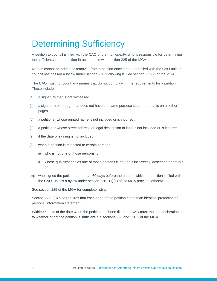## <span id="page-11-0"></span>Determining Sufficiency

A petition to council is filed with the CAO of the municipality, who is responsible for determining the sufficiency of the petition in accordance with section 225 of the MGA.

Names cannot be added or removed from a petition once it has been filed with the CAO unless council has passed a bylaw under section 226.1 allowing it. See section 225(2) of the MGA*.*

The CAO must not count any names that do not comply with the requirements for a petition. These include:

- (a) a signature that is not witnessed,
- (b) a signature on a page that does not have the same purpose statement that is on all other pages,
- (c) a petitioner whose printed name is not included or is incorrect,
- (d) a petitioner whose street address or legal description of land is not included or is incorrect,
- (e) if the date of signing is not included,
- (f) when a petition is restricted to certain persons,
	- (i) who is not one of those persons, or
	- (ii) whose qualifications as one of those persons is not, or is incorrectly, described or set out, or
- (g) who signed the petition more than 60 days before the date on which the petition is filed with the CAO, unless a bylaw under section 226.1(1)(e) of the MGA provides otherwise.

See section 225 of the MGA for complete listing.

Section 226.2(3) also requires that each page of the petition contain an identical protection of personal information statement.

Within 45 days of the date when the petition has been filed, the CAO must make a declaration as to whether or not the petition is sufficient. Se sections 226 and 226.1 of the MGA.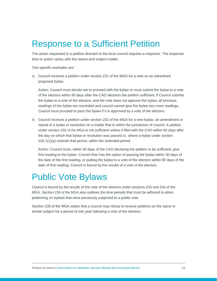## <span id="page-12-0"></span>Response to a Sufficient Petition

The action requested in a petition directed to the local council requires a response. The response time or action varies with the nature and subject matter.

Two specific examples are:

a) Council receives a petition under section 231 of the MGA for a vote on an advertised proposed bylaw.

Action: Council must decide not to proceed with the bylaw or must submit the bylaw to a vote of the electors within 90 days after the CAO declares the petition sufficient. If Council submits the bylaw to a vote of the electors, and the vote does not approve the bylaw, all previous readings of the bylaw are rescinded and council cannot give the bylaw any more readings. Council must proceed to pass the bylaw if it is approved by a vote of the electors.

b) Council receives a petition under section 232 of the MGA for a new bylaw, an amendment or repeal of a bylaw or resolution on a matter that is within the jurisdiction of council. A petition under section 232 of the MGA is not sufficient unless it filed with the CAO within 60 days after the day on which that bylaw or resolution was passed or, where a bylaw under section 226.1(1)(a) extends that period, within the extended period.

Action: Council must, within 30 days of the CAO declaring the petition to be sufficient, give first reading to the bylaw. Council then has the option of passing the bylaw within 30 days of the date of the first reading, or putting the bylaw to a vote of the electors within 90 days of the date of first reading. Council is bound by the results of a vote of the electors.

#### <span id="page-12-1"></span>Public Vote Bylaws

Council is bound by the results of the vote of the electors under sections 233 and 234 of the MGA. Section 234 of the MGA also outlines the time periods that must be adhered to when petitioning on bylaws that were previously subjected to a public vote.

Section 239 of the MGA states that a council may refuse to receive petitions on the same or similar subject for a period of one year following a vote of the electors.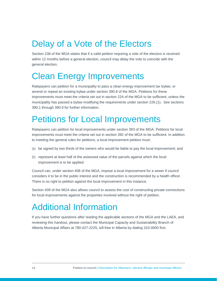# <span id="page-13-0"></span>Delay of a Vote of the Electors

Section 238 of the MGA states that if a valid petition requiring a vote of the electors is received within 12 months before a general election, council may delay the vote to coincide with the general election.

# <span id="page-13-1"></span>Clean Energy Improvements

Ratepayers can petition for a municipality to pass a clean energy improvement tax bylaw, or amend or repeal an existing bylaw under section 390.8 of the MGA. Petitions for these improvements must meet the criteria set out in section 224 of the MGA to be sufficient, unless the municipality has passed a bylaw modifying the requirements under section 226.(1). See sections 390.1 through 390.9 for further information.

# <span id="page-13-2"></span>Petitions for Local Improvements

Ratepayers can petition for local improvements under section 393 of the MGA. Petitions for local improvements must meet the criteria set out in section 392 of the MGA to be sufficient. In addition to meeting the general rules for petitions, a local improvement petition must:

- (a) be signed by two thirds of the owners who would be liable to pay the local improvement; and
- (b) represent at least half of the assessed value of the parcels against which the local improvement is to be applied.

Council can, under section 408 of the MGA, impose a local improvement for a sewer if council considers it to be in the public interest and the construction is recommended by a health officer. There is no right to petition against the local improvement in this instance.

Section 409 of the MGA also allows council to assess the cost of constructing private connections for local improvements against the properties involved without the right of petition.

# <span id="page-13-3"></span>Additional Information

If you have further questions after reading the applicable sections of the MGA and the LAEA, and reviewing this handout, please contact the Municipal Capacity and Sustainability Branch of Alberta Municipal Affairs at 780-427-2225, toll-free in Alberta by dialing 310-0000 first.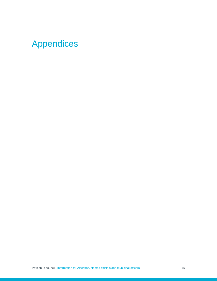# <span id="page-14-0"></span>Appendices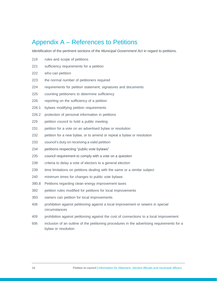#### <span id="page-15-0"></span>Appendix A – References to Petitions

Identification of the pertinent sections of the *Municipal Government Act* in regard to petitions.

- rules and scope of petitions
- sufficiency requirements for a petition
- who can petition
- the normal number of petitioners required
- requirements for petition statement, signatures and documents
- counting petitioners to determine sufficiency
- reporting on the sufficiency of a petition
- 226.1 bylaws modifying petition requirements
- 226.2 protection of personal information in petitions
- petition council to hold a public meeting
- petition for a vote on an advertised bylaw or resolution
- petition for a new bylaw, or to amend or repeal a bylaw or resolution
- council's duty on receiving a valid petition
- petitions respecting "public vote bylaws"
- council requirement to comply with a vote on a question
- criteria to delay a vote of electors to a general election
- time limitations on petitions dealing with the same or a similar subject
- minimum times for changes to public vote bylaws
- 390.8 Petitions regarding clean energy improvement taxes
- petition rules modified for petitions for local improvements
- owners can petition for local improvements
- prohibition against petitioning against a local improvement or sewers in special circumstances
- prohibition against petitioning against the cost of connections to a local improvement
- inclusion of an outline of the petitioning procedures in the advertising requirements for a bylaw or resolution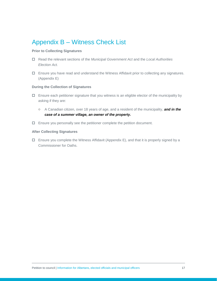#### <span id="page-16-0"></span>Appendix B – Witness Check List

#### **Prior to Collecting Signatures**

- Read the relevant sections of the *Municipal Government Act* and the *Local Authorities Election Act.*
- Ensure you have read and understand the Witness Affidavit prior to collecting any signatures. (Appendix E)

#### **During the Collection of Signatures**

- $\Box$  Ensure each petitioner signature that you witness is an eligible elector of the municipality by asking if they are:
	- o A Canadian citizen, over 18 years of age, and a resident of the municipality, *and in the case of a summer village, an owner of the property.*
- $\Box$  Ensure you personally see the petitioner complete the petition document.

#### **After Collecting Signatures**

 $\Box$  Ensure you complete the Witness Affidavit (Appendix E), and that it is properly signed by a Commissioner for Oaths.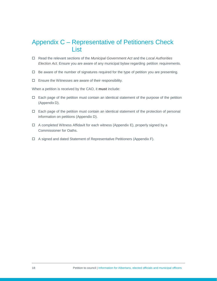#### <span id="page-17-0"></span>Appendix C – Representative of Petitioners Check List

- Read the relevant sections of the *Municipal Government Act* and the *Local Authorities Election Act*. Ensure you are aware of any municipal bylaw regarding petition requirements.
- $\Box$  Be aware of the number of signatures required for the type of petition you are presenting.
- $\square$  Ensure the Witnesses are aware of their responsibility.

When a petition is received by the CAO, it **must** include:

- $\Box$  Each page of the petition must contain an identical statement of the purpose of the petition (Appendix D).
- $\Box$  Each page of the petition must contain an identical statement of the protection of personal information on petitions (Appendix D).
- $\Box$  A completed Witness Affidavit for each witness (Appendix E), properly signed by a Commissioner for Oaths.
- A signed and dated Statement of Representative Petitioners (Appendix F).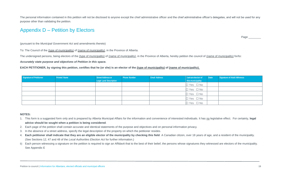The personal information contained in this petition will not be disclosed to anyone except the chief administrative officer and the chief administrative officer's delegates, and will not be used for any purpose other than validating the petition.

#### Appendix D – Petition by Electors

Page \_\_\_\_\_

(pursuant to the *Municipal Government Act* and amendments thereto)

To: The Council of the (type of municipality) of (name of municipality), in the Province of Alberta.

The undersigned persons, being electors of the (type of municipality) of (name of municipality), in the Province of Alberta, hereby petition the council of (name of municipality) for/to:

*Accurately state purpose and objectives of Petition in this space.*

**EACH PETITIONER, by signing this petition, certifies that he (or she) is an elector of the (type of municipality) of (name of municipality).**

<span id="page-18-0"></span>

| Signature of Petitioner | <b>Printed Name</b> | Street Address or             | Phone Number | <b>Email Address</b> | I am an elector of   | Date | Signature of Adult Witness |
|-------------------------|---------------------|-------------------------------|--------------|----------------------|----------------------|------|----------------------------|
|                         |                     | <b>Legal Land Description</b> |              |                      | this municipality    |      |                            |
|                         |                     |                               |              |                      | $\Box$ Yes $\Box$ No |      |                            |
|                         |                     |                               |              |                      | $\Box$ Yes $\Box$ No |      |                            |
|                         |                     |                               |              |                      | $\Box$ Yes $\Box$ No |      |                            |
|                         |                     |                               |              |                      | $\Box$ Yes $\Box$ No |      |                            |
|                         |                     |                               |              |                      | $\Box$ Yes $\Box$ No |      |                            |

#### **NOTES:**

- 1. This form is a suggested form only and is prepared by Alberta Municipal Affairs for the information and convenience of interested individuals. It has no legislative effect. For certainty, **legal advice should be sought when a petition is being considered**.
- 2. Each page of the petition shall contain accurate and identical statements of the purpose and objectives and on personal information privacy.
- 3. In the absence of a street address, specify the legal description of the property on which the petitioner resides.
- 4. **Each petitioner shall indicate that they are an eligible elector of the municipality by checking this field**. A Canadian citizen, over 18 years of age, and a resident of the municipality. (See Sections 12, 47 and 48 of the *Local Authorities Election Act* for further information.)
- b) Each person witnessing a signature on the petition is required to sign an Affidavit that to the best of their belief, the persons whose signatures they witnessed are electors of the municipality. See Appendix E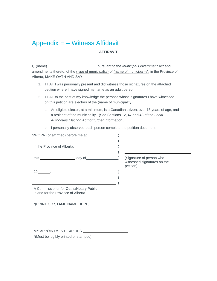#### <span id="page-19-0"></span>Appendix E – Witness Affidavit **AFFIDAVIT**

I, (name) **Fig. 2**, pursuant to the *Municipal Government Act* and amendments thereto, of the (type of municipality) of (name of municipality), in the Province of Alberta, MAKE OATH AND SAY:

- 1. THAT I was personally present and did witness those signatures on the attached petition where I have signed my name as an adult person.
- 2. THAT to the best of my knowledge the persons whose signatures I have witnessed on this petition are electors of the (name of municipality).
	- a. An eligible elector, at a minimum, is a Canadian citizen, over 18 years of age, and a resident of the municipality. (See Sections 12, 47 and 48 of the *Local Authorities Election Act* for further information.)
	- b. I personally observed each person complete the petition document.

| SWORN (or affirmed) before me at   |                                                                                                                                |                                                                      |
|------------------------------------|--------------------------------------------------------------------------------------------------------------------------------|----------------------------------------------------------------------|
| in the Province of Alberta,        |                                                                                                                                |                                                                      |
|                                    |                                                                                                                                | (Signature of person who<br>witnessed signatures on the<br>petition) |
| $20$ .                             |                                                                                                                                |                                                                      |
| in and for the Province of Alberta | A Commissioner for Oaths/Notary Public                                                                                         |                                                                      |
|                                    | *(PRINT OR STAMP NAME HERE)                                                                                                    |                                                                      |
|                                    |                                                                                                                                |                                                                      |
|                                    | MY APPOINTMENT EXPIRES <b>NAME ASSESS</b>                                                                                      |                                                                      |
|                                    | $\mathbf{r}$ , and $\mathbf{r}$ , and $\mathbf{r}$ , and $\mathbf{r}$ , and $\mathbf{r}$ , and $\mathbf{r}$ , and $\mathbf{r}$ |                                                                      |

\*(Must be legibly printed or stamped).